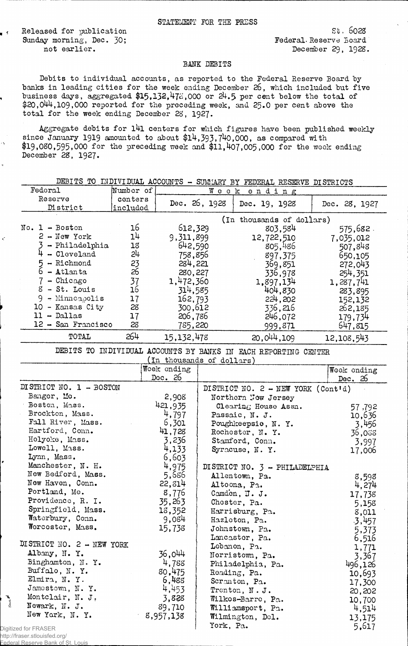Released for publication Sunday morning, Dec. 30; not earlier.

 $\blacksquare$ 

۸Ñ

 $\epsilon$ 

St. 602s Federal. Reserve Board December 29, 1928.

## BANK DEBITS

Debits to individual accounts, as reported to the Federal Reserve Board by banks in leading cities for the week ending December 26, which included but five business days, aggregated  $$15,132,472,000$  or  $24.5$  per cent below the total of \$20,044,109,000 reported for the preceding week, and 25.0 per cent above the total for the week ending December 28, 1927.

Aggregate debits for 141 centers for which figures have been published weekly since January 1919 amounted to about \$l4,393,740,000, as compared with \$19,020,595,000 for the preceding week and \$11,407,005,000 for the week ending December 28, 1927.

| DEBITS TO<br>INDIVIDUAL ACCOUNTS -<br>SUMMARY BY<br>FEDERAL RESERVE DISTRICTS |                           |               |               |               |  |  |
|-------------------------------------------------------------------------------|---------------------------|---------------|---------------|---------------|--|--|
| Federal                                                                       | Number of                 | Week          | ending        |               |  |  |
| Reserve<br>District                                                           | centers<br>included       | Dec. 26, 1928 | Dec. 19, 1928 | Dec. 28, 1927 |  |  |
|                                                                               | (In thousands of dollars) |               |               |               |  |  |
| $No. 1 - Boston$                                                              | 16                        | 612,329       | 803,584       | 575,682.      |  |  |
| $2 - New York$                                                                | 1 <sup>1</sup>            | 9,311,899     | 12,722,510    | 7,035,012     |  |  |
| - Philadelphia                                                                | 18                        | 642,590       | 805,486       | 507.848       |  |  |
| - Cleveland                                                                   | 24                        | 758,856       | 897,375       | 650,105       |  |  |
| - Richmond                                                                    | 23                        | 284.221       | 369,851       | 272,043       |  |  |
| - Atlanta                                                                     | 26                        | 280,227       | 336,978       | 254,351       |  |  |
| - Chicago                                                                     | 37                        | 1,472,360     | 1,897,134     | 1,287,741     |  |  |
| - St. Louis<br>8                                                              | 16                        | 314,585       | 404,830       | 283,895       |  |  |
| $-$ Minneapolis<br>9                                                          | 17                        | 162,793       | 224,202       | 152,132       |  |  |
| - Kansas City<br>10.                                                          | 28                        | 300,612       | 336,216       | 262,185       |  |  |
| - Dallas<br>11                                                                | 17                        | 206,786       | 246,072       | 179,734       |  |  |
| 12 - San Francisco                                                            | 28                        | 785,220       | 999,871       | 647,815       |  |  |
| TOTAL                                                                         | 264                       | 15,132,478    | 20.044,109    | 12,108,543    |  |  |

DEBITS TO INDIVIDUAL ACCOUNTS BY BANKS IN EACH REPORTING CENTER

|                           | Week ending<br>Doc. 26 |                                    | Week ending     |
|---------------------------|------------------------|------------------------------------|-----------------|
| DISTRICT NO. 1 - BOSTON   |                        |                                    | Dec. 26         |
| Bangor, Mo.               |                        | DISTRICT NO. 2 - NEW YORK (Cont'd) |                 |
|                           | 2,908                  | Northern Now Jersey                |                 |
| Boston, Mass.             | 421,935                | Clearing House Assn.               | 57,792          |
| Brockton, Mass.           | 4,797                  | Passaic, N. J.                     | 10,636          |
| Fall River, Mass.         | 6,301                  | Poughkeepsie, N. Y.                | 3,456           |
| Hartford, Conn.           | 41,728                 | Rochester, N. Y.                   | 36,068          |
| Holyoke, Mass.            | 3,236                  | Stamford, Conn.                    | 3,997           |
| Lowell, Mass.             | 4,133                  | Syracuse, N.Y.                     | 17,006          |
| Lynn, Mass.               | 6,603                  |                                    |                 |
| Manchester, N. H.         | 4,975                  | DISTRICT NO. 3 - PHILADELPHIA      |                 |
| New Bedford, Mass.        | 5,686                  | Allentown, Pa.                     | 8,598           |
| New Haven, Conn.          | 22, 314                | Altoona, Pa.                       | 4,274           |
| Portland, Me.             | ន,776                  | Camden, II. J.                     | 17,738          |
| Providence, R. I.         | 35,263                 | Choster, Pa.                       | 5,158           |
| Springfield, Mass.        | 18,352                 | Harrisburg, Pa.                    | 8,011           |
| Waterbury, Conn.          | 9,084                  | Hazleton, Pa.                      | 3,457           |
| Worcester, Mass.          | 15,738                 | Johnstown, Pa.                     | 5,373           |
|                           |                        | Lancaster, Pa.                     | 6,516           |
| DISTRICT NO. 2 - NEW YORK |                        | Lebanon, Pa.                       | 1,771           |
| Albany, N. Y.             | 36,044                 | Norristown, Pa.                    | 3,367           |
| Binghamton, N.Y.          | 4,788                  | Philadelphia, Pa.                  | 496,126         |
| Buffalo, N.Y.             | 80,475                 | Reading, Pa.                       | 10,693          |
| Elmira, N.Y.              | 6,488                  | Scronton, Pa.                      |                 |
| Jamestown, N.Y.           | 4,453                  | Trenton, N.J.                      | 17,300          |
| Montclair, N. J.          | 3,828                  |                                    | 20,202          |
| Newark, N. J.             | 89,710                 | Wilkos-Barre, Pa.                  | 10,700          |
| New York, N.Y.            | 8,957,138              | Williamsport, Pa.                  | 4,514           |
|                           |                        | Wilmington, Del.<br>York, Pa.      | 13,175<br>5,617 |

http://fraser.stlouisfed.org/ Reserve Bank of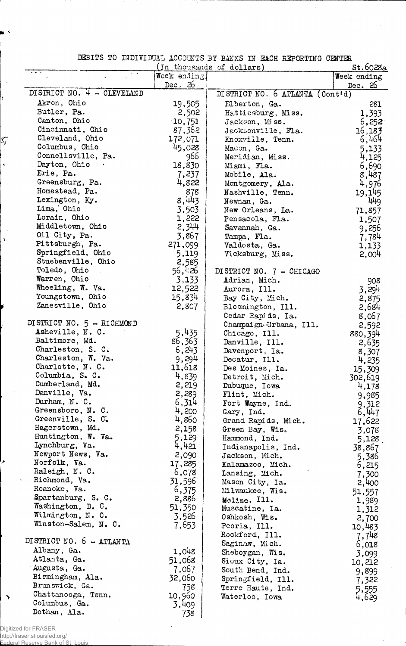DEBITS TO INDIVIDUAL ACCOUNTS BY BANKS IN EACH REPORTING CENTER

|                            |              | (In thousands of dollars)       | <u>St.6028a</u> |
|----------------------------|--------------|---------------------------------|-----------------|
| .                          | Week ending! |                                 | Week ending     |
|                            | Dec. 26      |                                 | Dec. $26$       |
| DISTRICT NO. 4 - CLEVELAND |              | DISTRICT NO. 6 ATLANTA (Cont'd) |                 |
| Akron, Ohio                | 19,505       | Elberton, Ga.                   | 281             |
| Butler, Pa.                | 2,502        | Hattiesburg, Miss.              | 1,393           |
| Canton, Ohio               | 10,751       | Jackson, Miss.                  | 6,252           |
| Cincinnati, Ohio           | 87,362       | Jacksonville, Fla.              | 16,183          |
| Cleveland, Ohio            | 172,071      | Knoxville, Tenn.                | 6,464           |
| Columbus, Ohio             | 45,028       | Macon, Ga.                      | 5,133           |
| Connellsville, Pa.         | 966          | Meridian, Miss.                 | 4,125           |
| Dayton, Ohio               | 18,830       | Miami, Fla.                     | 6,690           |
| Erie, Pa.                  | 7,237        | Mobile, Ala.                    | 8,487           |
| Greensburg, Pa.            | 4,822        | Montgomery, Ala.                | 4,976           |
| Homestead, Pa.             | 878          | Nashville, Tenn.                | 19,145          |
| Lexington, Ky.             | 8,443        | Newman, Ga.                     | 449             |
| Lima, Ohio                 | 3,503        | New Orleans, La.                | 71,857          |
| Lorain, Ohio               | 1,222        | Pensacola, Fla.                 | 1,507           |
| Middletown, Ohio           | 2,344        | Savannah, Ga.                   | 9,256           |
| Oil City, Pa.              | 3,867        | Tampa, Fla.                     | 7,784           |
| Pittsburgh, Pa.            | 271,099      | Valdosta, Ga.                   | 1,133           |
| Springfield, Ohio          | 5,119        | Vicksburg, Miss.                | 2,004           |
| Stuebenville, Ohio         | 2,585        |                                 |                 |
| Toledo, Ohio               | 56,426       | DISTRICT NO. 7 - CHICAGO        |                 |
| Warren, Ohio               | 3,133        | Adrian, Mich.                   | 908             |
| Wheeling, W. Va.           | 12,522       | Aurora, Ill.                    | 3,294           |
| Youngstown, Ohio           | 15,834       | Bay City, Mich.                 | 2,875           |
| Zanesville, Ohio           | 2,807        | Bloomington, Ill.               | 2,684           |
|                            |              | Cedar Rapids, Ia.               | 8,067           |
| DISTRICT NO. 5 - RICHMOND  |              | Champaign Urbana, Ill.          | 2,592           |
| Asheville, N. C.           | 5,435        | Chicago, Ill.                   | 880,394         |
| Baltimore, Md.             | 86,363       | Danville, Ill.                  | 2,635           |
| Charleston, S. C.          | 6,243        | Davenport, Ia.                  | 8,307           |
| Charleston, W. Va.         | 9,294        | Decatur, Ill.                   | 4,235           |
| Charlotte, N.C.            | 11,618       | Des Moines, Ia.                 | 15,309          |
| Columbia, S. C.            | 4,839        | Detroit, Mich.                  | 302,619         |
| Cumberland, Md.            | 2,219        | Dubuque, Iowa                   | 4,178           |
| Danville, Va.              | 2,289        | Flint, Mich.                    | 9,985           |
| Durham, N. C.              | 6,314        | Fort Wayne, Ind.                | 9,312           |
| Greensboro, N. C.          | 4,200        | Gary, Ind.                      | 6,447           |
| Greenville, S. C.          | 4,860        | Grand Rapids, Mich.             | 17,622          |
| Hagerstown, Md.            | 2,158        | Green Bay, Wis.                 | 3,078           |
| Huntington, W. Va.         | 5,129        | Hammond, Ind.                   | 5,128           |
| Lynchburg, Va.             | 4,421        | Indianapolis, Ind.              | 38,867          |
| Newport News, Va.          | 2,090        | Jackson, Mich.                  | 5,386           |
| Norfolk, Va.               | 17,285       | Kalamazoo, Mich.                | 6,215           |
| Raleigh, N. C.             | 6,078        | Lansing, Mich.                  | 7,300           |
| Richmond, Va.              | 31,596       | Mason City, Ia.                 | 2,400           |
| Roanoke, Va.               | 6,375        | Milwaukee, Wis.                 | 51,557          |
| Spartanburg, S. C.         | 2,886        | Moline, Ill.                    | 1,989           |
| Washington, D. C.          | 51,350       | Muscatine, Ia.                  | 1,312           |
| Wilmington, N. C.          | 3,526        | Oshkosh, Wis.                   | 2,700           |
| Winston-Salem, N. C.       | 7,653        | Peoria, Ill.                    | 10,483          |
|                            |              | Rockford, Ill.                  | 7,748           |
| DISTRICT NO. 6 - ATLANTA   |              | Saginaw, Mich.                  | 6,018           |
| Albany, Ga.                | 1,048        | Sheboygan, Wis.                 | 3,099           |
| Atlanta, Ga.               | 51,068       | Sioux City, Ia.                 | 10,212          |
| Augusta, Ga.               | 7,067        | South Bend, Ind.                | 9,899           |
| Birmingham, Ala.           | 32,060       | Springfield, Ill.               | 7,322           |
| Brunswick, Ga.             | 758          | Terre Haute, Ind.               | 5,555           |
| Chattanooga, Tenn.         | 10,960       | Waterloo, Iowa                  | 4,629           |
| Columbus, Ga.              | 3,409        |                                 |                 |
| Dothan, Ala.               | 738          |                                 |                 |

Digitized for FRASER http://fraser.stlouisfed.org/

⊯ s

 $\bar{\beta}$ 

 $\vert \zeta \vert$ 

 $\blacktriangleleft$ 

 $\boldsymbol{\delta}$ 

 $\left| \cdot \right|$ 

 $\epsilon_{\rm d}$ 

Federal Reserve Bank of St. Louis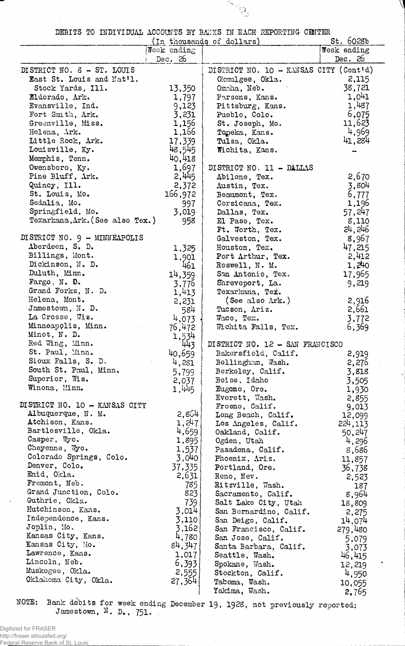DEBITS TO INDIVIDUAL ACCOUNTS BY BANKS IN EACH REPORTING CENTER

V

|                                   |                | (In thousands of dollars)                  | st.6028b        |
|-----------------------------------|----------------|--------------------------------------------|-----------------|
|                                   | $Nee$ k ending |                                            | Week ending     |
|                                   | Dec. 26        |                                            | Dec. $26$       |
| DISTRICT NO. 8 - ST. LOUIS        |                | DISTRICT NO. 10 - KANSAS CITY (Cont'd)     |                 |
| East St. Louis and Nat'l.         |                | Okmulgee, Okla.                            | 2,115           |
| Stock Yards, Ill.                 | 13,350         | Omaha, Neb.                                | 38,721          |
| Eldorado, Ark.                    | 1,797          | Parsons, Kans.                             | 1,041           |
| Evansville, Ind.                  | 9,123          | Pittsburg, Kans.                           | 1,487           |
| Fort Smith, Ark.                  | 3,231          | Pueblo, Colo.                              | 6,075           |
| Greenville, Miss.                 | 1,156          | St. Joseph, Mo.                            | 11,623          |
| Helena, Ark.                      | 1,166          | Topeka, Kans.                              | 4,969           |
| Little Rock, Ark.                 | 17,339         | Tulsa, Okla.                               | 41,284          |
| Louisville, Ky.                   | 48,545         | Wichita, Kans.                             |                 |
| Memphis, Tenn.                    | 40,418         |                                            |                 |
| Owensboro, Ky.                    | 1,697          | DISTRICT NO. 11 - DALLAS                   |                 |
| Pine Bluff, Ark.                  | 2,445          | Abilene, Tex.                              | 2,670           |
| Quincy, Ill.                      | 2,372          | Austin, Tex.                               | 3,804           |
| St. Louis, Mo.                    | 166,972        | Beaumont, Tex.                             | 6,777           |
| Sedalia, Mo.                      | 997            | Corsicana, Tex.                            | 1,196           |
| Springfield, Mo.                  | 3,019          | Dallas, Tex.                               | 57,247          |
| Texarkana, Ark. (See also Tex.)   | 958            | El Paso, Tex.                              | 8,110           |
|                                   |                | Ft. Worth, Tex.                            | 24, 246         |
| DISTRICT NO. 9 - MINNEAPOLIS      |                | Galveston, Tex.                            | 8,967           |
| Aberdeen, S. D.                   | 1,325          | Houston, Tex.                              | 47,215          |
| Billings, Mont.                   | 1,901          | Port Arthur, Tex.                          | 2,412           |
| Dickinson, N. D.<br>Duluth, Minn. | 461            | Roswell, N. M.                             | 1,240           |
| Fargo, $N$ . $D$ .                | 14,359         | San Antonio, Tex.                          | 17,965          |
| Grand Forks, N. D.                | 3,776          | Shreveport, La.                            | 9,219           |
| Helena, Mont.                     | 1,413          | Texarkana, Tex.<br>$($ See also $Ark.$ )   | 2,916           |
| Jamestown, N. D.                  | 2,231<br>584   | Tucson, Ariz.                              | 2,661           |
| La Crosse, Wis.                   | $4,073$ .      | Waco, Tex.                                 | 3,772           |
| Minneapolis, Minn.                | 76,472         | Wichita Falls, Tex.                        | 6,369           |
| Minot, N. D.                      | 1,534          |                                            |                 |
| Red Wing, Minn.                   | 443            | DISTRICT NO. 12 - SAN FRANCISCO            |                 |
| St. Paul, Minn.                   | 40,659         | Bakersfield, Calif.                        | 2,919           |
| Sioux Falls, S. D.                | 4,281          | Bellingham, Wash.                          | 2,276           |
| South St. Paul, Minn.             | 5,799          | Berkeley, Calif.                           | 3,818           |
| Superior, Wis.                    | 2,037          | Boise, Idaho                               | 3,505           |
| Winona, Minn.                     | 1,445          | Eugene, Ore.                               | 1,930           |
|                                   |                | Everett, Wash.                             | 2,855           |
| DISTRICT NO. 10 - KANSAS CITY     |                | Fresno, Calif.                             | 9,013           |
| Albuquerque, N. M.                | 2,864          | Long Beach, Calif.                         | 12,099          |
| Atchison, Kans.                   | 1,247          | Los Angeles, Calif.                        | 224,113         |
| Bartlesville, Okla.               | 4,659          | Oakland, Calif.                            | 50,247          |
| Casper, Wyo.<br>Cheyenne, Wyo.    | 1,895          | Ogden, Utah                                | 4,296           |
| Colorado Springs, Colo.           | 1,537          | Pasadena, Calif.                           | 8,686           |
| Denver, Colo.                     | 3,040          | Phoenix, Ariz.                             | 11,857          |
| Enid, Okla.                       | 37,335         | Portland, Ore.                             | 36,738          |
| Fremont, Neb.                     | 2,631          | Reno, Nev.                                 | 2,523           |
| Grand Junction, Colo.             | 785<br>823     | Ritzville, Wash.                           | 187             |
| Guthrie, Okla.                    | 739            | Sacramento, Calif.<br>Salt Lake City, Utah | 8,964           |
| Hutchinson, Kans.                 | 3,014          | San Bernardino, Calif.                     | 18,809<br>2,275 |
| Independence, Kans.               | 3,110          | San Deigo, Calif.                          | 14,074          |
| Joplin, Mo.                       | 3,162          | San Francisco, Calif.                      | 279,480         |
| Kansas City, Kans.                | 4,780,         | San Jose, Calif.                           | 5,079           |
| Kansas City, Mo.                  | 84,347         | Santa Barbara, Calif.                      | 3,073           |
| Lawrence, Kans.                   | 1,017          | Seattle, Wash.                             | 46,415          |
| Lincoln, Neb.                     | 6,393          | Spokane, Wash.                             | 12,219          |
| Muskogee, Okla.                   | 2,555          | Stockton, Calif.                           | 4,950           |
| Oklahoma City, Okla.              | 27,364         | Tacoma, Wash.                              | 10,055          |
|                                   |                | Yakima, Wash.                              | 2,765           |

NOTE; Bank debits for week ending December nk debits for week ending December 19, 1928, not previously reported:<br>Jamestown, <sup>N</sup>. D., 751.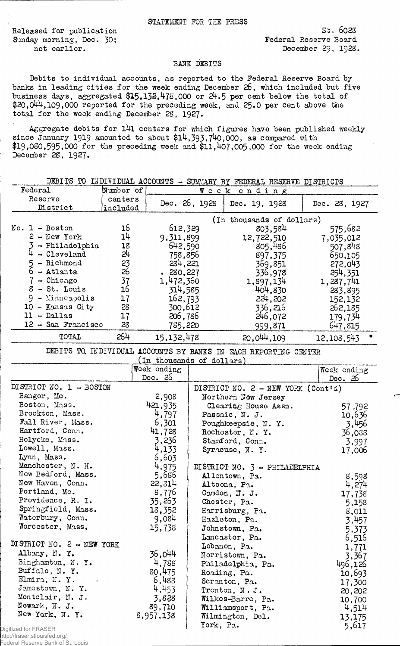Released for publication Sunday morning, Dec. 30; not earlier.

St. 6028 Federal Reserve Board December 29, 1928.

## BANK DEBITS

Debits to individual accounts, as reported to the Federal Reserve Board by banks in leading cities for the week ending December 26, which included but five business days, aggregated \$15,132,472,000 or 24.5 per cent below the total of \$20,044,109,000 reported for the preceding week, and 25.0 per cent above the total for the week ending December 28, 1927 •

Aggregate debits for l4l centers for which figures have been published weekly since January 1919 amounted to about \$14,393,740,000, as compared with \$19,030,595,000 for the preceding week and \$11,407,005,000 for the weok ending December 28, 1927.

| DEBITS TO                               |                |                           |               | INDIVIDUAL ACCOUNTS - SUMMARY BY FEDERAL RESERVE DISTRICTS      |               |
|-----------------------------------------|----------------|---------------------------|---------------|-----------------------------------------------------------------|---------------|
| Federal                                 | Number of      |                           |               | Week ending                                                     |               |
| Reserve                                 | conters        |                           | Dec. 26, 1928 | Dec. 19, 1928                                                   | Dec. 23, 1927 |
| District                                | included       |                           |               |                                                                 |               |
|                                         |                |                           |               | (In thousands of dollars)                                       |               |
| No. $1 - Boston$                        | 16             | 612,329                   |               | 803,584                                                         | 575,682       |
| $2 - New York$                          | 14             | 9,311,899                 |               | 12,722,510                                                      | 7,035,012     |
| 3 - Philadelphia                        | 18             | 642,590                   |               | 805,486                                                         | 507,848       |
| $4 - C1$ eveland                        | 54             | 758,856                   |               | 897,375                                                         | 650,105       |
| $5 -$ Richmond                          | $2\frac{3}{2}$ | 284,221                   |               | 369,851                                                         | 272,043       |
| $6 -$ Atlanta                           | 26             | .280,227                  |               | 336,978                                                         | 254,351       |
| $7 -$ Chicago                           | 37             | 1,472,360                 |               | 1,897,134                                                       | 1,287,741     |
| 8 - St. Louis                           | 16             | 314,585                   |               | 404,830                                                         | 283,895       |
| $9 -$ Minneapolis                       | 17             | 162,793                   |               | 224,202                                                         | 152,132       |
| 10 - Kansas City                        | 28             | 300,612                   |               | 336,216                                                         | 262,185       |
| $11 - Dallas$                           | 17             | 206,786                   |               | 246,072                                                         | 179,734       |
| 12 - San Francisco                      | 28             | 785,220                   |               | 999,871                                                         | 647,815       |
| TOTAL                                   | 264            |                           |               |                                                                 |               |
|                                         |                | 15,132,478                |               | 20,044,109                                                      | 12,108,543    |
|                                         |                |                           |               | DEBITS TO INDIVIDUAL ACCOUNTS BY BANKS IN EACH REPORTING CENTER |               |
|                                         |                | (In thousands of dollars) |               |                                                                 |               |
|                                         |                | Week ending               |               |                                                                 | Week ending   |
|                                         |                | Doc. 26                   |               |                                                                 | Dec. $26$     |
| DISTRICT NO. 1 - BOSTON                 |                |                           |               | DISTRICT NO. 2 - NEW YORK (Cont'd)                              |               |
| Bangor, Mo.                             |                | 2,908                     |               | Northern Cow Jersey                                             |               |
| Boston, Mass.                           |                | 421,935                   |               | Clearing House Assn.                                            | 57,792        |
| Brockton, Mass.                         |                | 4,797                     |               | Passaic, N. J.                                                  | 10,636        |
| Fall River, Mass.                       |                | 6,301                     |               | Poughkeepsie, N.Y.                                              | 3,456         |
| Hartford, Conn.                         |                | 41,728                    |               | Rochester, N.Y.                                                 | 36,088        |
| Holyoke, Mass.                          |                | 3,236                     |               | Stamford, Conn.                                                 | 3,997         |
| Lowell, Mass.                           |                | 4,133                     |               | Syracuse, N.Y.                                                  | 17,006        |
| Lynn, Mass.                             |                | 6,603                     |               |                                                                 |               |
| Manchester, N. H.                       |                | 4,975                     |               | DISTRICT NO. 3 - PHILADELPHIA                                   |               |
| New Bedford, Mass.                      |                | 5,686                     |               | Allentown, Pa.                                                  | 8,598         |
| New Haven, Conn.                        |                | 22,314                    |               | Altoona, Pa.                                                    | 4,274         |
| Portland, Me.                           |                | 8,776                     |               | Camden, I.J.                                                    | 17,738        |
| Providence, R. I.<br>Springfield, Mass. |                | 35,263                    |               | Choster, Pa.                                                    | 5,158         |
|                                         |                | 18,352                    |               | Harrisburg, Pa.                                                 | 8,011         |
| Waterbury, Conn.                        |                | 9,084                     |               | Hazleton, Pa.                                                   | 3,457         |
| Worcester, Mass.                        |                | 15,738                    |               | Johnstown, Pa.                                                  | 5,373         |
|                                         |                |                           |               | Lancaster, Pa.                                                  | 6,516         |
| DISTRICT NO. 2 - NEW YORK               |                |                           |               | Lebanon, Pa.                                                    | 1,771         |
| Albany, N.Y.                            |                | 36,044                    |               | Norristown, Pa.                                                 | 3,367         |
| Binghamton, N.Y.                        |                | 4,788                     |               | Philadelphia, Pa.                                               | 496,126       |
| Buffalo, N.Y.                           |                | 80,475                    |               | Roading, Pa.                                                    | 10,693        |
| Elmira, N.Y.                            |                | 6,488                     |               | Scranton, Pa.                                                   | 17,300        |
| Jamestown, N.Y.                         |                | 4,453                     |               | Tronton, N.J.                                                   | 20,202        |
| Montclair, N. J.                        |                | 3,838                     |               | Wilkes-Barre, Pa.                                               | 10,700        |
| Newark, N. J.                           |                | 89,710                    |               | Williamsport, Pa.                                               | 4,514         |
| New York, N.Y.                          |                | 8,957,138                 |               | Wilmington, Del.                                                | 13,175        |
| Digitized for FRASER                    |                |                           | York, Pa.     |                                                                 | 5,617         |

http://fraser.stlouisfed.org/ Federal Reserve Bank of St. Louis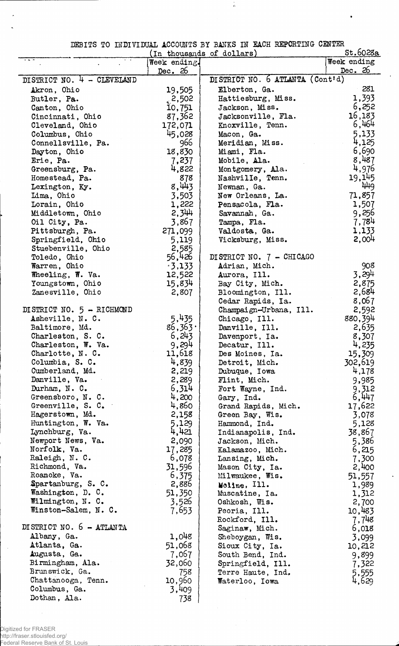DEBITS TO INDIVIDUAL ACCOUNTS BY BANKS IN EACH REPORTING CENTER

 $\frac{1}{35}$ 

 $\bullet$ 

 $\ddot{\phantom{a}}$ 

 $\ddot{\phantom{a}}$ 

|                            |              | (In thousands of dollars)       | St.6028a    |
|----------------------------|--------------|---------------------------------|-------------|
|                            | Week ending. |                                 | Week ending |
|                            | Dec. 26      |                                 | Dec. $26$   |
| DISTRICT NO. 4 - CLEVELAND |              | DISTRICT NO. 6 ATLANTA (Cont'd) |             |
| Akron, Ohio                | 19,505       | Elberton, Ga.                   | 281         |
| Butler, Pa.                | , 2,502      | Hattiesburg, Miss.              | 1,393       |
| Canton, Ohio               | 10,751       | Jackson, Miss.                  | 6,252       |
| Cincinnati, Ohio           | 87,362       | Jacksonville, Fla.              | 16,183      |
| Cleveland, Ohio            | 172,071      | Knoxville, Tenn.                | 6,464       |
| Columbus, Ohio             | 45,028       | Macon, Ga.                      | 5,133       |
| Connellsville, Pa.         | 966          | Meridian, Miss.                 | 4,125       |
|                            |              |                                 | 6,690       |
| Dayton, Ohio               | 18,830       | Miami, Fla.                     |             |
| Erie, Pa.                  | 7,237        | Mobile, Ala.                    | 8,487       |
| Greensburg, Pa.            | 4,822        | Montgomery, Ala.                | 4,976       |
| Homestead, Pa.             | 878          | Nashville, Tenn.                | 19,145      |
| Lexington, Ky.             | 8,443        | Newman, Ga.                     | 449         |
| Lima, Ohio                 | 3,503        | New Orleans, La.                | 71,857      |
| Lorain, Ohio               | 1,222        | Pensacola, Fla.                 | 1,507       |
| Middletown, Ohio           | 2,344        | Savannah, Ga.                   | 9,256       |
| Oil City, Pa.              | 3,867        | Tampa, Fla.                     | 7,784       |
| Pittsburgh, Pa.            | 271,099      | Valdosta, Ga.                   | 1,133       |
| Springfield, Ohio          | 5,119        | Vicksburg, Miss.                | 2,004       |
| Stuebenville, Ohio         | 2,585        |                                 |             |
| Toledo, Ohio               | 56,426       | DISTRICT NO. 7 - CHICAGO        |             |
| Warren, Ohio               | $-3,133$     | Adrian, Mich.                   | 908         |
| Wheeling, W. Va.           | 12,522       | Aurora, Ill.                    | $3,29^{11}$ |
| Youngstown, Ohio           | 15,834       | Bay City, Mich.                 | 2,875       |
| Zanesville, Ohio           | 2,807        | Bloomington, Ill.               | 2,684       |
|                            |              |                                 | 8,067       |
|                            |              | Cedar Rapids, Ia.               |             |
| DISTRICT NO. 5 - RICHMOND  |              | Champaign-Urbana, Ill.          | 2,592       |
| Asheville, N. C.           | 5,435        | Chicago, Ill.                   | 880,394     |
| Baltimore, Md.             | 86,363       | Danville, Ill.                  | 2,635       |
| Charleston, S. C.          | 6,243        | Davenport, Ia.                  | 8,307       |
| Charleston, W. Va.         | 9,294        | Decatur, Ill.                   | 4,235       |
| Charlotte, N. C.           | 11,618       | Des Moines, Ia.                 | 15,309      |
| Columbia, S. C.            | 4,839        | Detroit, Mich.                  | 302,619     |
| Cumberland, Md.            | 2,219        | Dubuque, Iowa                   | 4,178       |
| Danville, Va.              | 2,289        | Flint, Mich.                    | 9,985       |
| Durham, N. C.              | 6,314        | Fort Wayne, Ind.                | 9,312       |
| Greensboro, N.C.           | 4,200        | Gary, Ind.                      | 6,447       |
| Greenville, S. C.          | 4,860        | Grand Rapids, Mich.             | 17,622      |
| Hagerstown, Md.            | 2,158        | Green Bay, Wis.                 | 3,078       |
| Huntington, W. Va.         | 5,129        | Hammond, Ind.                   | 5,128       |
| Lynchburg, Va.             | 4,421        | Indianapolis, Ind.              | 38,867      |
| Newport News, Va.          | 2,090        | Jackson, Mich.                  | 5,386       |
| Norfolk, Va.               | 17,285       | Kalamazoo, Mich.                | 6,215       |
| Raleigh, N. C.             | 6,078        | Lansing, Mich.                  | 7,300       |
| Richmond, Va.              | 31,596       | Mason City, Ia.                 | 2,400       |
| Roanoke, Va.               | 6,375        | Milwaukee, Wis.                 | 51,557      |
| Spartanburg, S. C.         | 2,886        | Moline, Ill.                    | 1,989       |
| Washington, D. C.          | 51,350       | Muscatine, Ia.                  | 1,312       |
| Wilmington, N. C.          | 3,526        | Oshkosh, Wis.                   | 2,700       |
| Winston-Salem, N. C.       | 7,653        |                                 |             |
|                            |              | Peoria, Ill.                    | 10,483      |
| DISTRICT NO. 6 - ATLANTA   |              | Rockford, Ill.                  | 7,748       |
|                            |              | Saginaw, Mich.                  | 6,018       |
| Albany, Ga.                | 1,048        | Sheboygan, Wis.                 | 3,099       |
| Atlanta, Ga.               | 51,068       | Sioux City, Ia.                 | 10,212      |
| Augusta, Ga.               | 7,067        | South Bend, Ind.                | 9,899       |
| Birmingham, Ala.           | 32,060       | Springfield, Ill.               | 7,322       |
| Brunswick, Ga.             | 758          | Terre Haute, Ind.               | 5,555       |
| Chattanooga, Tenn.         | 10,960       | Waterloo, Iowa                  | 4,629       |
| Columbus, Ga.              | 3,409        |                                 |             |
| Dothan, Ala.               | 738          |                                 |             |

 $\sim$ 

 $\overline{a}$